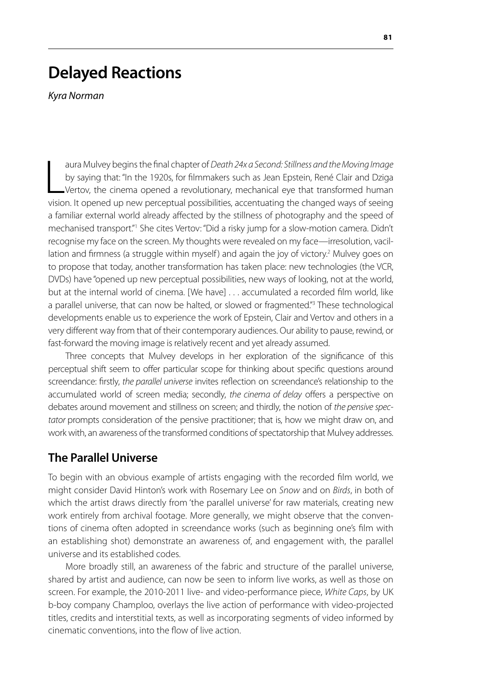# **Delayed Reactions**

*Kyra Norman*

 $\frac{1}{\sqrt{1-\frac{1}{2}}}$ aura Mulvey begins the final chapter of *Death 24x a Second: Stillness and the Moving Image* by saying that: "In the 1920s, for filmmakers such as Jean Epstein, René Clair and Dziga Vertov, the cinema opened a revolutionary, mechanical eye that transformed human vision. It opened up new perceptual possibilities, accentuating the changed ways of seeing a familiar external world already affected by the stillness of photography and the speed of mechanised transport."<sup>1</sup> She cites Vertov: "Did a risky jump for a slow-motion camera. Didn't recognise my face on the screen. My thoughts were revealed on my face—irresolution, vacillation and firmness (a struggle within myself) and again the joy of victory.<sup>2</sup> Mulvey goes on to propose that today, another transformation has taken place: new technologies (the VCR, DVDs) have "opened up new perceptual possibilities, new ways of looking, not at the world, but at the internal world of cinema. [We have] . . . accumulated a recorded film world, like a parallel universe, that can now be halted, or slowed or fragmented."<sup>3</sup> These technological developments enable us to experience the work of Epstein, Clair and Vertov and others in a very different way from that of their contemporary audiences. Our ability to pause, rewind, or fast-forward the moving image is relatively recent and yet already assumed.

Three concepts that Mulvey develops in her exploration of the significance of this perceptual shift seem to offer particular scope for thinking about specific questions around screendance: firstly, *the parallel universe* invites reflection on screendance's relationship to the accumulated world of screen media; secondly, *the cinema of delay* offers a perspective on debates around movement and stillness on screen; and thirdly, the notion of *the pensive spectator* prompts consideration of the pensive practitioner; that is, how we might draw on, and work with, an awareness of the transformed conditions of spectatorship that Mulvey addresses.

## **The Parallel Universe**

To begin with an obvious example of artists engaging with the recorded film world, we might consider David Hinton's work with Rosemary Lee on *Snow* and on *Birds*, in both of which the artist draws directly from 'the parallel universe' for raw materials, creating new work entirely from archival footage. More generally, we might observe that the conventions of cinema often adopted in screendance works (such as beginning one's film with an establishing shot) demonstrate an awareness of, and engagement with, the parallel universe and its established codes.

More broadly still, an awareness of the fabric and structure of the parallel universe, shared by artist and audience, can now be seen to inform live works, as well as those on screen. For example, the 2010-2011 live- and video-performance piece, *White Caps*, by UK b-boy company Champloo, overlays the live action of performance with video-projected titles, credits and interstitial texts, as well as incorporating segments of video informed by cinematic conventions, into the flow of live action.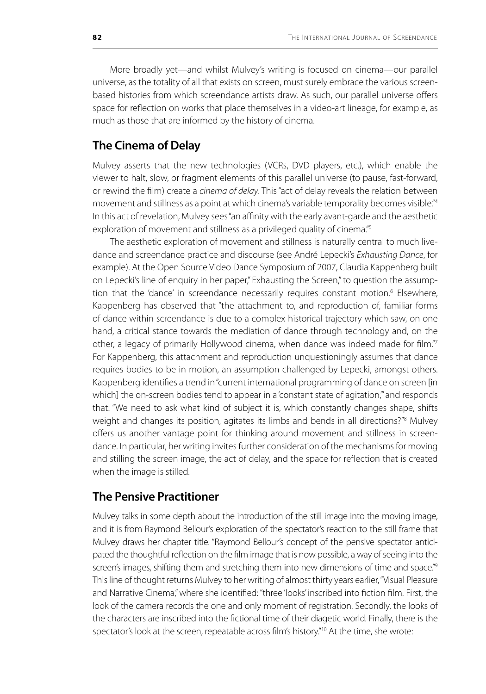More broadly yet—and whilst Mulvey's writing is focused on cinema—our parallel universe, as the totality of all that exists on screen, must surely embrace the various screenbased histories from which screendance artists draw. As such, our parallel universe offers space for reflection on works that place themselves in a video-art lineage, for example, as much as those that are informed by the history of cinema.

## **The Cinema of Delay**

Mulvey asserts that the new technologies (VCRs, DVD players, etc.), which enable the viewer to halt, slow, or fragment elements of this parallel universe (to pause, fast-forward, or rewind the film) create a *cinema of delay*. This "act of delay reveals the relation between movement and stillness as a point at which cinema's variable temporality becomes visible."4 In this act of revelation, Mulvey sees "an affinity with the early avant-garde and the aesthetic exploration of movement and stillness as a privileged quality of cinema."<sup>5</sup>

The aesthetic exploration of movement and stillness is naturally central to much livedance and screendance practice and discourse (see André Lepecki's *Exhausting Dance*, for example). At the Open Source Video Dance Symposium of 2007, Claudia Kappenberg built on Lepecki's line of enquiry in her paper," Exhausting the Screen," to question the assumption that the 'dance' in screendance necessarily requires constant motion.<sup>6</sup> Elsewhere, Kappenberg has observed that "the attachment to, and reproduction of, familiar forms of dance within screendance is due to a complex historical trajectory which saw, on one hand, a critical stance towards the mediation of dance through technology and, on the other, a legacy of primarily Hollywood cinema, when dance was indeed made for film."7 For Kappenberg, this attachment and reproduction unquestioningly assumes that dance requires bodies to be in motion, an assumption challenged by Lepecki, amongst others. Kappenberg identifies a trend in "current international programming of dance on screen [in which] the on-screen bodies tend to appear in a 'constant state of agitation," and responds that: "We need to ask what kind of subject it is, which constantly changes shape, shifts weight and changes its position, agitates its limbs and bends in all directions?"<sup>8</sup> Mulvey offers us another vantage point for thinking around movement and stillness in screendance. In particular, her writing invites further consideration of the mechanisms for moving and stilling the screen image, the act of delay, and the space for reflection that is created when the image is stilled.

## **The Pensive Practitioner**

Mulvey talks in some depth about the introduction of the still image into the moving image, and it is from Raymond Bellour's exploration of the spectator's reaction to the still frame that Mulvey draws her chapter title. "Raymond Bellour's concept of the pensive spectator anticipated the thoughtful reflection on the film image that is now possible, a way of seeing into the screen's images, shifting them and stretching them into new dimensions of time and space."<sup>9</sup> This line of thought returns Mulvey to her writing of almost thirty years earlier, "Visual Pleasure and Narrative Cinema," where she identified: "three 'looks' inscribed into fiction film. First, the look of the camera records the one and only moment of registration. Secondly, the looks of the characters are inscribed into the fictional time of their diagetic world. Finally, there is the spectator's look at the screen, repeatable across film's history."<sup>10</sup> At the time, she wrote: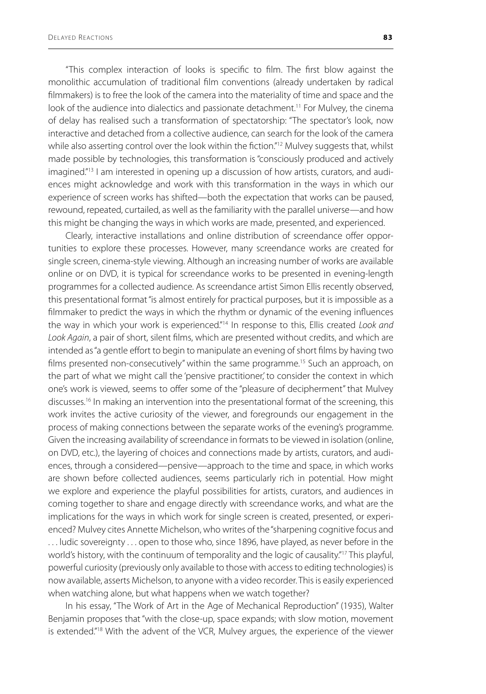"This complex interaction of looks is specific to film. The first blow against the monolithic accumulation of traditional film conventions (already undertaken by radical filmmakers) is to free the look of the camera into the materiality of time and space and the look of the audience into dialectics and passionate detachment.<sup>11</sup> For Mulvey, the cinema of delay has realised such a transformation of spectatorship: "The spectator's look, now interactive and detached from a collective audience, can search for the look of the camera while also asserting control over the look within the fiction."<sup>12</sup> Mulvey suggests that, whilst made possible by technologies, this transformation is "consciously produced and actively imagined."<sup>13</sup> I am interested in opening up a discussion of how artists, curators, and audiences might acknowledge and work with this transformation in the ways in which our experience of screen works has shifted—both the expectation that works can be paused, rewound, repeated, curtailed, as well as the familiarity with the parallel universe—and how this might be changing the ways in which works are made, presented, and experienced.

Clearly, interactive installations and online distribution of screendance offer opportunities to explore these processes. However, many screendance works are created for single screen, cinema-style viewing. Although an increasing number of works are available online or on DVD, it is typical for screendance works to be presented in evening-length programmes for a collected audience. As screendance artist Simon Ellis recently observed, this presentational format "is almost entirely for practical purposes, but it is impossible as a filmmaker to predict the ways in which the rhythm or dynamic of the evening influences the way in which your work is experienced."14 In response to this, Ellis created *Look and Look Again*, a pair of short, silent films, which are presented without credits, and which are intended as "a gentle effort to begin to manipulate an evening of short films by having two films presented non-consecutively" within the same programme.<sup>15</sup> Such an approach, on the part of what we might call the 'pensive practitioner,' to consider the context in which one's work is viewed, seems to offer some of the "pleasure of decipherment" that Mulvey discusses.<sup>16</sup> In making an intervention into the presentational format of the screening, this work invites the active curiosity of the viewer, and foregrounds our engagement in the process of making connections between the separate works of the evening's programme. Given the increasing availability of screendance in formats to be viewed in isolation (online, on DVD, etc.), the layering of choices and connections made by artists, curators, and audiences, through a considered—pensive—approach to the time and space, in which works are shown before collected audiences, seems particularly rich in potential. How might we explore and experience the playful possibilities for artists, curators, and audiences in coming together to share and engage directly with screendance works, and what are the implications for the ways in which work for single screen is created, presented, or experienced? Mulvey cites Annette Michelson, who writes of the "sharpening cognitive focus and . . . ludic sovereignty . . . open to those who, since 1896, have played, as never before in the world's history, with the continuum of temporality and the logic of causality."<sup>17</sup> This playful, powerful curiosity (previously only available to those with access to editing technologies) is now available, asserts Michelson, to anyone with a video recorder. This is easily experienced when watching alone, but what happens when we watch together?

In his essay, "The Work of Art in the Age of Mechanical Reproduction" (1935), Walter Benjamin proposes that "with the close-up, space expands; with slow motion, movement is extended."<sup>18</sup> With the advent of the VCR, Mulvey argues, the experience of the viewer